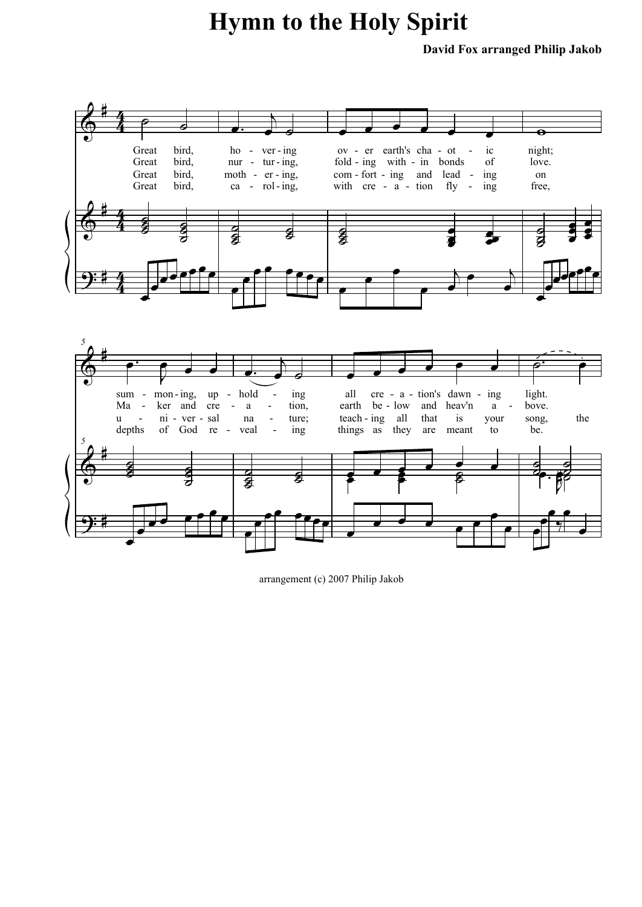## **Hymn to the Holy Spirit**

**David Fox arranged Philip Jakob**





arrangement (c) 2007 Philip Jakob